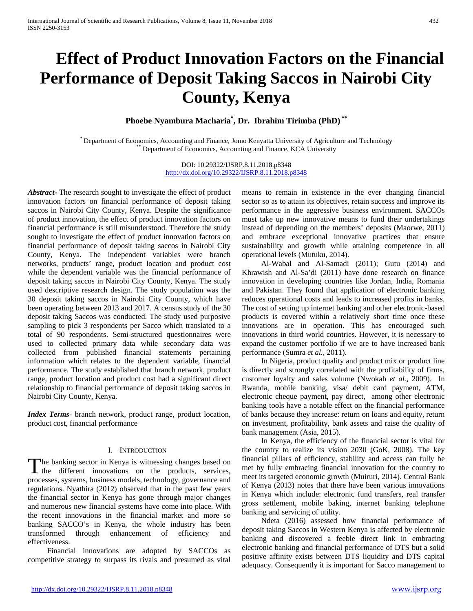# **Effect of Product Innovation Factors on the Financial Performance of Deposit Taking Saccos in Nairobi City County, Kenya**

**Phoebe Nyambura Macharia\* , Dr. Ibrahim Tirimba (PhD) \*\***

\* Department of Economics, Accounting and Finance, Jomo Kenyatta University of Agriculture and Technology \*\* Department of Economics, Accounting and Finance, KCA University

DOI: 10.29322/IJSRP.8.11.2018.p8348 <http://dx.doi.org/10.29322/IJSRP.8.11.2018.p8348>

*Abstract***-** The research sought to investigate the effect of product innovation factors on financial performance of deposit taking saccos in Nairobi City County, Kenya. Despite the significance of product innovation, the effect of product innovation factors on financial performance is still misunderstood. Therefore the study sought to investigate the effect of product innovation factors on financial performance of deposit taking saccos in Nairobi City County, Kenya. The independent variables were branch networks, products' range, product location and product cost while the dependent variable was the financial performance of deposit taking saccos in Nairobi City County, Kenya. The study used descriptive research design. The study population was the 30 deposit taking saccos in Nairobi City County, which have been operating between 2013 and 2017. A census study of the 30 deposit taking Saccos was conducted. The study used purposive sampling to pick 3 respondents per Sacco which translated to a total of 90 respondents. Semi-structured questionnaires were used to collected primary data while secondary data was collected from published financial statements pertaining information which relates to the dependent variable, financial performance. The study established that branch network, product range, product location and product cost had a significant direct relationship to financial performance of deposit taking saccos in Nairobi City County, Kenya.

*Index Terms*- branch network, product range, product location, product cost, financial performance

## I. INTRODUCTION

he banking sector in Kenya is witnessing changes based on The banking sector in Kenya is witnessing changes based on the different innovations on the products, services, processes, systems, business models, technology, governance and regulations. Nyathira (2012) observed that in the past few years the financial sector in Kenya has gone through major changes and numerous new financial systems have come into place. With the recent innovations in the financial market and more so banking SACCO's in Kenya, the whole industry has been transformed through enhancement of efficiency and effectiveness.

 Financial innovations are adopted by SACCOs as competitive strategy to surpass its rivals and presumed as vital means to remain in existence in the ever changing financial sector so as to attain its objectives, retain success and improve its performance in the aggressive business environment. SACCOs must take up new innovative means to fund their undertakings instead of depending on the members' deposits (Maorwe, 2011) and embrace exceptional innovative practices that ensure sustainability and growth while attaining competence in all operational levels (Mutuku, 2014).

 Al-Wabal and Al-Samadi (2011); Gutu (2014) and Khrawish and Al-Sa'di (2011) have done research on finance innovation in developing countries like Jordan, India, Romania and Pakistan. They found that application of electronic banking reduces operational costs and leads to increased profits in banks. The cost of setting up internet banking and other electronic-based products is covered within a relatively short time once these innovations are in operation. This has encouraged such innovations in third world countries. However, it is necessary to expand the customer portfolio if we are to have increased bank performance (Sumra *et al.,* 2011).

 In Nigeria, product quality and product mix or product line is directly and strongly correlated with the profitability of firms, customer loyalty and sales volume (Nwokah *et al.*, 2009). In Rwanda, mobile banking, visa/ debit card payment, ATM, electronic cheque payment, pay direct, among other electronic banking tools have a notable effect on the financial performance of banks because they increase: return on loans and equity, return on investment, profitability, bank assets and raise the quality of bank management (Asia, 2015).

 In Kenya, the efficiency of the financial sector is vital for the country to realize its vision 2030 (GoK, 2008). The key financial pillars of efficiency, stability and access can fully be met by fully embracing financial innovation for the country to meet its targeted economic growth (Muiruri, 2014). Central Bank of Kenya (2013) notes that there have been various innovations in Kenya which include: electronic fund transfers, real transfer gross settlement, mobile baking, internet banking telephone banking and servicing of utility.

 Ndeta (2016) assessed how financial performance of deposit taking Saccos in Western Kenya is affected by electronic banking and discovered a feeble direct link in embracing electronic banking and financial performance of DTS but a solid positive affinity exists between DTS liquidity and DTS capital adequacy. Consequently it is important for Sacco management to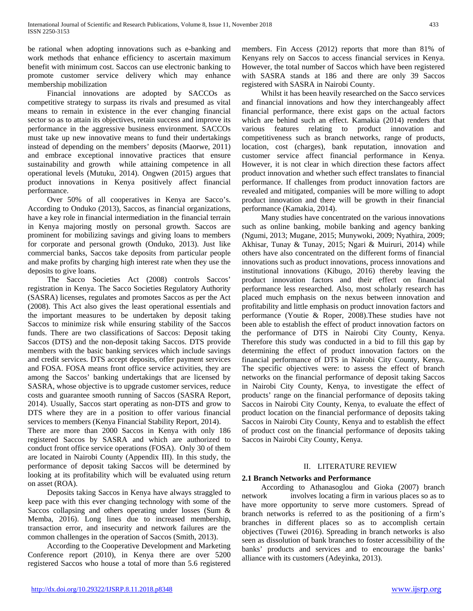be rational when adopting innovations such as e-banking and work methods that enhance efficiency to ascertain maximum benefit with minimum cost. Saccos can use electronic banking to promote customer service delivery which may enhance membership mobilization

 Financial innovations are adopted by SACCOs as competitive strategy to surpass its rivals and presumed as vital means to remain in existence in the ever changing financial sector so as to attain its objectives, retain success and improve its performance in the aggressive business environment. SACCOs must take up new innovative means to fund their undertakings instead of depending on the members' deposits (Maorwe, 2011) and embrace exceptional innovative practices that ensure sustainability and growth while attaining competence in all operational levels (Mutuku, 2014). Ongwen (2015) argues that product innovations in Kenya positively affect financial performance.

 Over 50% of all cooperatives in Kenya are Sacco's. According to Onduko (2013), Saccos, as financial organizations, have a key role in financial intermediation in the financial terrain in Kenya majoring mostly on personal growth. Saccos are prominent for mobilizing savings and giving loans to members for corporate and personal growth (Onduko, 2013). Just like commercial banks, Saccos take deposits from particular people and make profits by charging high interest rate when they use the deposits to give loans.

 The Sacco Societies Act (2008) controls Saccos' registration in Kenya. The Sacco Societies Regulatory Authority (SASRA) licenses, regulates and promotes Saccos as per the Act (2008). This Act also gives the least operational essentials and the important measures to be undertaken by deposit taking Saccos to minimize risk while ensuring stability of the Saccos funds. There are two classifications of Saccos: Deposit taking Saccos (DTS) and the non-deposit taking Saccos. DTS provide members with the basic banking services which include savings and credit services. DTS accept deposits, offer payment services and FOSA. FOSA means front office service activities, they are among the Saccos' banking undertakings that are licensed by SASRA, whose objective is to upgrade customer services, reduce costs and guarantee smooth running of Saccos (SASRA Report, 2014). Usually, Saccos start operating as non-DTS and grow to DTS where they are in a position to offer various financial services to members (Kenya Financial Stability Report, 2014).

There are more than 2000 Saccos in Kenya with only 186 registered Saccos by SASRA and which are authorized to conduct front office service operations (FOSA). Only 30 of them are located in Nairobi County (Appendix III). In this study, the performance of deposit taking Saccos will be determined by looking at its profitability which will be evaluated using return on asset (ROA).

 Deposits taking Saccos in Kenya have always straggled to keep pace with this ever changing technology with some of the Saccos collapsing and others operating under losses (Sum & Memba, 2016). Long lines due to increased membership, transaction error, and insecurity and network failures are the common challenges in the operation of Saccos (Smith, 2013).

 According to the Cooperative Development and Marketing Conference report (2010), in Kenya there are over 5200 registered Saccos who house a total of more than 5.6 registered

members. Fin Access (2012) reports that more than 81% of Kenyans rely on Saccos to access financial services in Kenya. However, the total number of Saccos which have been registered with SASRA stands at 186 and there are only 39 Saccos registered with SASRA in Nairobi County.

 Whilst it has been heavily researched on the Sacco services and financial innovations and how they interchangeably affect financial performance, there exist gaps on the actual factors which are behind such an effect. Kamakia (2014) renders that various features relating to product innovation and competitiveness such as branch networks, range of products, location, cost (charges), bank reputation, innovation and customer service affect financial performance in Kenya. However, it is not clear in which direction these factors affect product innovation and whether such effect translates to financial performance. If challenges from product innovation factors are revealed and mitigated, companies will be more willing to adopt product innovation and there will be growth in their financial performance (Kamakia, 2014).

 Many studies have concentrated on the various innovations such as online banking, mobile banking and agency banking (Ngumi, 2013; Mugane, 2015; Munywoki, 2009; Nyathira, 2009; Akhisar, Tunay & Tunay, 2015; Ngari & Muiruri, 2014) while others have also concentrated on the different forms of financial innovations such as product innovations, process innovations and institutional innovations (Kibugo, 2016) thereby leaving the product innovation factors and their effect on financial performance less researched. Also, most scholarly research has placed much emphasis on the nexus between innovation and profitability and little emphasis on product innovation factors and performance (Youtie & Roper, 2008).These studies have not been able to establish the effect of product innovation factors on the performance of DTS in Nairobi City County, Kenya. Therefore this study was conducted in a bid to fill this gap by determining the effect of product innovation factors on the financial performance of DTS in Nairobi City County, Kenya. The specific objectives were: to assess the effect of branch networks on the financial performance of deposit taking Saccos in Nairobi City County, Kenya, to investigate the effect of products' range on the financial performance of deposits taking Saccos in Nairobi City County, Kenya, to evaluate the effect of product location on the financial performance of deposits taking Saccos in Nairobi City County, Kenya and to establish the effect of product cost on the financial performance of deposits taking Saccos in Nairobi City County, Kenya.

## II. LITERATURE REVIEW

## **2.1 Branch Networks and Performance**

 According to Athanasoglou and Gioka (2007) branch network involves locating a firm in various places so as to have more opportunity to serve more customers. Spread of branch networks is referred to as the positioning of a firm's branches in different places so as to accomplish certain objectives (Tuwei (2016). Spreading in branch networks is also seen as dissolution of bank branches to foster accessibility of the banks' products and services and to encourage the banks' alliance with its customers (Adeyinka, 2013).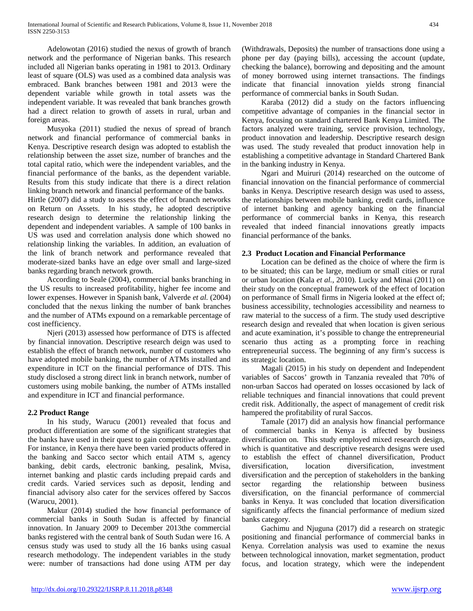Adelowotan (2016) studied the nexus of growth of branch network and the performance of Nigerian banks. This research included all Nigerian banks operating in 1981 to 2013. Ordinary least of square (OLS) was used as a combined data analysis was embraced. Bank branches between 1981 and 2013 were the dependent variable while growth in total assets was the independent variable. It was revealed that bank branches growth had a direct relation to growth of assets in rural, urban and foreign areas.

 Musyoka (2011) studied the nexus of spread of branch network and financial performance of commercial banks in Kenya. Descriptive research design was adopted to establish the relationship between the asset size, number of branches and the total capital ratio, which were the independent variables, and the financial performance of the banks, as the dependent variable. Results from this study indicate that there is a direct relation linking branch network and financial performance of the banks.

Hirtle (2007) did a study to assess the effect of branch networks on Return on Assets. In his study, he adopted descriptive research design to determine the relationship linking the dependent and independent variables. A sample of 100 banks in US was used and correlation analysis done which showed no relationship linking the variables. In addition, an evaluation of the link of branch network and performance revealed that moderate-sized banks have an edge over small and large-sized banks regarding branch network growth.

 According to Seale (2004), commercial banks branching in the US results to increased profitability, higher fee income and lower expenses. However in Spanish bank, Valverde *et al.* (2004) concluded that the nexus linking the number of bank branches and the number of ATMs expound on a remarkable percentage of cost inefficiency.

 Njeri (2013) assessed how performance of DTS is affected by financial innovation. Descriptive research deign was used to establish the effect of branch network, number of customers who have adopted mobile banking, the number of ATMs installed and expenditure in ICT on the financial performance of DTS. This study disclosed a strong direct link in branch network, number of customers using mobile banking, the number of ATMs installed and expenditure in ICT and financial performance.

## **2.2 Product Range**

 In his study, Warucu (2001) revealed that focus and product differentiation are some of the significant strategies that the banks have used in their quest to gain competitive advantage. For instance, in Kenya there have been varied products offered in the banking and Sacco sector which entail ATM s, agency banking, debit cards, electronic banking, pesalink, Mvisa, internet banking and plastic cards including prepaid cards and credit cards. Varied services such as deposit, lending and financial advisory also cater for the services offered by Saccos (Warucu, 2001).

 Makur (2014) studied the how financial performance of commercial banks in South Sudan is affected by financial innovation. In January 2009 to December 2013the commercial banks registered with the central bank of South Sudan were 16. A census study was used to study all the 16 banks using casual research methodology. The independent variables in the study were: number of transactions had done using ATM per day

(Withdrawals, Deposits) the number of transactions done using a phone per day (paying bills), accessing the account (update, checking the balance), borrowing and depositing and the amount of money borrowed using internet transactions. The findings indicate that financial innovation yields strong financial performance of commercial banks in South Sudan.

 Karaba (2012) did a study on the factors influencing competitive advantage of companies in the financial sector in Kenya, focusing on standard chartered Bank Kenya Limited. The factors analyzed were training, service provision, technology, product innovation and leadership. Descriptive research design was used. The study revealed that product innovation help in establishing a competitive advantage in Standard Chartered Bank in the banking industry in Kenya.

 Ngari and Muiruri (2014) researched on the outcome of financial innovation on the financial performance of commercial banks in Kenya. Descriptive research design was used to assess, the relationships between mobile banking, credit cards, influence of internet banking and agency banking on the financial performance of commercial banks in Kenya, this research revealed that indeed financial innovations greatly impacts financial performance of the banks.

## **2.3 Product Location and Financial Performance**

 Location can be defined as the choice of where the firm is to be situated; this can be large, medium or small cities or rural or urban location (Kala *et al.*, 2010). Lucky and Minai (2011) on their study on the conceptual framework of the effect of location on performance of Small firms in Nigeria looked at the effect of; business accessibility, technologies accessibility and nearness to raw material to the success of a firm. The study used descriptive research design and revealed that when location is given serious and acute examination, it's possible to change the entrepreneurial scenario thus acting as a prompting force in reaching entrepreneurial success. The beginning of any firm's success is its strategic location.

 Magali (2015) in his study on dependent and Independent variables of Saccos' growth in Tanzania revealed that 70% of non-urban Saccos had operated on losses occasioned by lack of reliable techniques and financial innovations that could prevent credit risk. Additionally, the aspect of management of credit risk hampered the profitability of rural Saccos.

 Tamale (2017) did an analysis how financial performance of commercial banks in Kenya is affected by business diversification on. This study employed mixed research design, which is quantitative and descriptive research designs were used to establish the effect of channel diversification, Product diversification, location diversification, investment diversification and the perception of stakeholders in the banking sector regarding the relationship between business diversification, on the financial performance of commercial banks in Kenya. It was concluded that location diversification significantly affects the financial performance of medium sized banks category.

 Gachimu and Njuguna (2017) did a research on strategic positioning and financial performance of commercial banks in Kenya. Correlation analysis was used to examine the nexus between technological innovation, market segmentation, product focus, and location strategy, which were the independent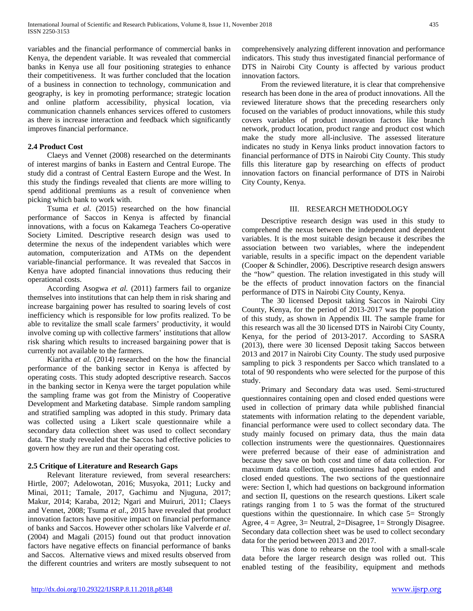variables and the financial performance of commercial banks in Kenya, the dependent variable. It was revealed that commercial banks in Kenya use all four positioning strategies to enhance their competitiveness. It was further concluded that the location of a business in connection to technology, communication and geography, is key in promoting performance; strategic location and online platform accessibility, physical location, via communication channels enhances services offered to customers as there is increase interaction and feedback which significantly improves financial performance.

## **2.4 Product Cost**

 Claeys and Vennet (2008) researched on the determinants of interest margins of banks in Eastern and Central Europe. The study did a contrast of Central Eastern Europe and the West. In this study the findings revealed that clients are more willing to spend additional premiums as a result of convenience when picking which bank to work with.

 Tsuma *et al*. (2015) researched on the how financial performance of Saccos in Kenya is affected by financial innovations, with a focus on Kakamega Teachers Co-operative Society Limited. Descriptive research design was used to determine the nexus of the independent variables which were automation, computerization and ATMs on the dependent variable-financial performance. It was revealed that Saccos in Kenya have adopted financial innovations thus reducing their operational costs.

 According Asogwa *et al.* (2011) farmers fail to organize themselves into institutions that can help them in risk sharing and increase bargaining power has resulted to soaring levels of cost inefficiency which is responsible for low profits realized. To be able to revitalize the small scale farmers' productivity, it would involve coming up with collective farmers' institutions that allow risk sharing which results to increased bargaining power that is currently not available to the farmers.

 Kiaritha *et al.* (2014) researched on the how the financial performance of the banking sector in Kenya is affected by operating costs. This study adopted descriptive research. Saccos in the banking sector in Kenya were the target population while the sampling frame was got from the Ministry of Cooperative Development and Marketing database. Simple random sampling and stratified sampling was adopted in this study. Primary data was collected using a Likert scale questionnaire while a secondary data collection sheet was used to collect secondary data. The study revealed that the Saccos had effective policies to govern how they are run and their operating cost.

## **2.5 Critique of Literature and Research Gaps**

 Relevant literature reviewed, from several researchers: Hirtle, 2007; Adelowotan, 2016; Musyoka, 2011; Lucky and Minai, 2011; Tamale, 2017, Gachimu and Njuguna, 2017; Makur, 2014; Karaba, 2012; Ngari and Muiruri, 2011; Claeys and Vennet, 2008; Tsuma *et al*., 2015 have revealed that product innovation factors have positive impact on financial performance of banks and Saccos. However other scholars like Valverde *et al*. (2004) and Magali (2015) found out that product innovation factors have negative effects on financial performance of banks and Saccos. Alternative views and mixed results observed from the different countries and writers are mostly subsequent to not comprehensively analyzing different innovation and performance indicators. This study thus investigated financial performance of DTS in Nairobi City County is affected by various product innovation factors.

 From the reviewed literature, it is clear that comprehensive research has been done in the area of product innovations. All the reviewed literature shows that the preceding researchers only focused on the variables of product innovations, while this study covers variables of product innovation factors like branch network, product location, product range and product cost which make the study more all-inclusive. The assessed literature indicates no study in Kenya links product innovation factors to financial performance of DTS in Nairobi City County. This study fills this literature gap by researching on effects of product innovation factors on financial performance of DTS in Nairobi City County, Kenya.

## III. RESEARCH METHODOLOGY

 Descriptive research design was used in this study to comprehend the nexus between the independent and dependent variables. It is the most suitable design because it describes the association between two variables, where the independent variable, results in a specific impact on the dependent variable (Cooper & Schindler, 2006). Descriptive research design answers the "how" question. The relation investigated in this study will be the effects of product innovation factors on the financial performance of DTS in Nairobi City County, Kenya.

 The 30 licensed Deposit taking Saccos in Nairobi City County, Kenya, for the period of 2013-2017 was the population of this study, as shown in Appendix III. The sample frame for this research was all the 30 licensed DTS in Nairobi City County, Kenya, for the period of 2013-2017. According to SASRA (2013), there were 30 licensed Deposit taking Saccos between 2013 and 2017 in Nairobi City County. The study used purposive sampling to pick 3 respondents per Sacco which translated to a total of 90 respondents who were selected for the purpose of this study.

 Primary and Secondary data was used. Semi-structured questionnaires containing open and closed ended questions were used in collection of primary data while published financial statements with information relating to the dependent variable, financial performance were used to collect secondary data. The study mainly focused on primary data, thus the main data collection instruments were the questionnaires. Questionnaires were preferred because of their ease of administration and because they save on both cost and time of data collection. For maximum data collection, questionnaires had open ended and closed ended questions. The two sections of the questionnaire were: Section I, which had questions on background information and section II, questions on the research questions. Likert scale ratings ranging from 1 to 5 was the format of the structured questions within the questionnaire. In which case 5= Strongly Agree, 4 = Agree, 3= Neutral, 2=Disagree, 1= Strongly Disagree. Secondary data collection sheet was be used to collect secondary data for the period between 2013 and 2017.

 This was done to rehearse on the tool with a small-scale data before the larger research design was rolled out. This enabled testing of the feasibility, equipment and methods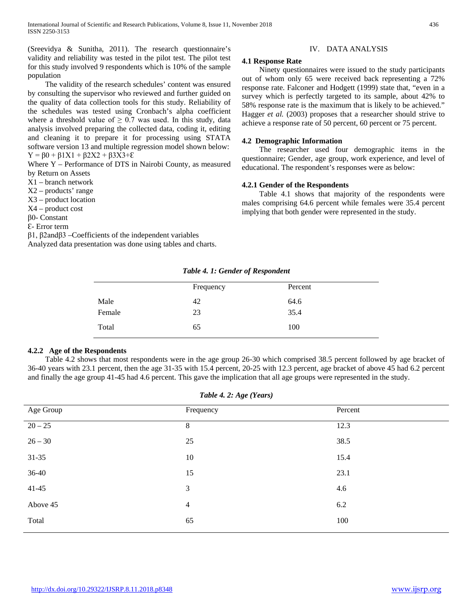(Sreevidya & Sunitha, 2011). The research questionnaire's validity and reliability was tested in the pilot test. The pilot test for this study involved 9 respondents which is 10% of the sample population

 The validity of the research schedules' content was ensured by consulting the supervisor who reviewed and further guided on the quality of data collection tools for this study. Reliability of the schedules was tested using Cronbach's alpha coefficient where a threshold value of  $\geq 0.7$  was used. In this study, data analysis involved preparing the collected data, coding it, editing and cleaning it to prepare it for processing using STATA software version 13 and multiple regression model shown below:  $Y = \beta 0 + \beta 1X1 + \beta 2X2 + \beta 3X3 + E$ 

Where Y – Performance of DTS in Nairobi County, as measured by Return on Assets

X1 – branch network

X2 – products' range

X3 – product location

X4 – product cost

β0- Constant

Ɛ- Error term

β1, β2andβ3 –Coefficients of the independent variables Analyzed data presentation was done using tables and charts.

### IV. DATA ANALYSIS

#### **4.1 Response Rate**

 Ninety questionnaires were issued to the study participants out of whom only 65 were received back representing a 72% response rate. Falconer and Hodgett (1999) state that, "even in a survey which is perfectly targeted to its sample, about 42% to 58% response rate is the maximum that is likely to be achieved." Hagger *et al.* (2003) proposes that a researcher should strive to achieve a response rate of 50 percent, 60 percent or 75 percent.

#### **4.2 Demographic Information**

 The researcher used four demographic items in the questionnaire; Gender, age group, work experience, and level of educational. The respondent's responses were as below:

#### **4.2.1 Gender of the Respondents**

 Table 4.1 shows that majority of the respondents were males comprising 64.6 percent while females were 35.4 percent implying that both gender were represented in the study.

*Table 4. 1: Gender of Respondent*

|        | Frequency | Percent |  |
|--------|-----------|---------|--|
| Male   | 42        | 64.6    |  |
| Female | 23        | 35.4    |  |
| Total  | 65        | 100     |  |

#### **4.2.2 Age of the Respondents**

 Table 4.2 shows that most respondents were in the age group 26-30 which comprised 38.5 percent followed by age bracket of 36-40 years with 23.1 percent, then the age 31-35 with 15.4 percent, 20-25 with 12.3 percent, age bracket of above 45 had 6.2 percent and finally the age group 41-45 had 4.6 percent. This gave the implication that all age groups were represented in the study.

|  |  |  |  |  | Table 4. 2: Age (Years) |  |
|--|--|--|--|--|-------------------------|--|
|--|--|--|--|--|-------------------------|--|

| Age Group | Frequency      | Percent |
|-----------|----------------|---------|
| $20 - 25$ | $\,8\,$        | 12.3    |
| $26 - 30$ | 25             | 38.5    |
| $31 - 35$ | 10             | 15.4    |
| $36-40$   | 15             | 23.1    |
| $41 - 45$ | $\mathfrak{Z}$ | 4.6     |
| Above 45  | $\overline{4}$ | 6.2     |
| Total     | 65             | 100     |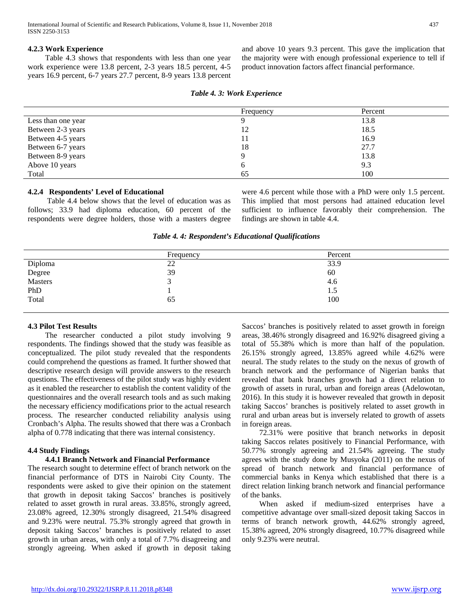## **4.2.3 Work Experience**

 Table 4.3 shows that respondents with less than one year work experience were 13.8 percent, 2-3 years 18.5 percent, 4-5 years 16.9 percent, 6-7 years 27.7 percent, 8-9 years 13.8 percent

and above 10 years 9.3 percent. This gave the implication that the majority were with enough professional experience to tell if product innovation factors affect financial performance.

|                    | Frequency | Percent |
|--------------------|-----------|---------|
| Less than one year |           | 13.8    |
| Between 2-3 years  | 12        | 18.5    |
| Between 4-5 years  |           | 16.9    |
| Between 6-7 years  | 18        | 27.7    |
| Between 8-9 years  |           | 13.8    |
| Above 10 years     | O         | 9.3     |
| Total              | 65        | 100     |

### **4.2.4 Respondents' Level of Educational**

 Table 4.4 below shows that the level of education was as follows; 33.9 had diploma education, 60 percent of the respondents were degree holders, those with a masters degree were 4.6 percent while those with a PhD were only 1.5 percent. This implied that most persons had attained education level sufficient to influence favorably their comprehension. The findings are shown in table 4.4.

*Table 4. 4: Respondent's Educational Qualifications*

|                   | Frequency | Percent |
|-------------------|-----------|---------|
| Diploma           | 22        | 33.9    |
| Degree<br>Masters | 39        | 60      |
|                   |           | 4.6     |
| PhD<br>Total      |           | 1.5     |
|                   | 65        | 100     |
|                   |           |         |

## **4.3 Pilot Test Results**

 The researcher conducted a pilot study involving 9 respondents. The findings showed that the study was feasible as conceptualized. The pilot study revealed that the respondents could comprehend the questions as framed. It further showed that descriptive research design will provide answers to the research questions. The effectiveness of the pilot study was highly evident as it enabled the researcher to establish the content validity of the questionnaires and the overall research tools and as such making the necessary efficiency modifications prior to the actual research process. The researcher conducted reliability analysis using Cronbach's Alpha. The results showed that there was a Cronbach alpha of 0.778 indicating that there was internal consistency.

## **4.4 Study Findings**

#### **4.4.1 Branch Network and Financial Performance**

The research sought to determine effect of branch network on the financial performance of DTS in Nairobi City County. The respondents were asked to give their opinion on the statement that growth in deposit taking Saccos' branches is positively related to asset growth in rural areas. 33.85%, strongly agreed, 23.08% agreed, 12.30% strongly disagreed, 21.54% disagreed and 9.23% were neutral. 75.3% strongly agreed that growth in deposit taking Saccos' branches is positively related to asset growth in urban areas, with only a total of 7.7% disagreeing and strongly agreeing. When asked if growth in deposit taking

Saccos' branches is positively related to asset growth in foreign areas, 38.46% strongly disagreed and 16.92% disagreed giving a total of 55.38% which is more than half of the population. 26.15% strongly agreed, 13.85% agreed while 4.62% were neural. The study relates to the study on the nexus of growth of branch network and the performance of Nigerian banks that revealed that bank branches growth had a direct relation to growth of assets in rural, urban and foreign areas (Adelowotan, 2016). In this study it is however revealed that growth in deposit taking Saccos' branches is positively related to asset growth in rural and urban areas but is inversely related to growth of assets in foreign areas.

 72.31% were positive that branch networks in deposit taking Saccos relates positively to Financial Performance, with 50.77% strongly agreeing and 21.54% agreeing. The study agrees with the study done by Musyoka (2011) on the nexus of spread of branch network and financial performance of commercial banks in Kenya which established that there is a direct relation linking branch network and financial performance of the banks.

 When asked if medium-sized enterprises have a competitive advantage over small-sized deposit taking Saccos in terms of branch network growth, 44.62% strongly agreed, 15.38% agreed, 20% strongly disagreed, 10.77% disagreed while only 9.23% were neutral.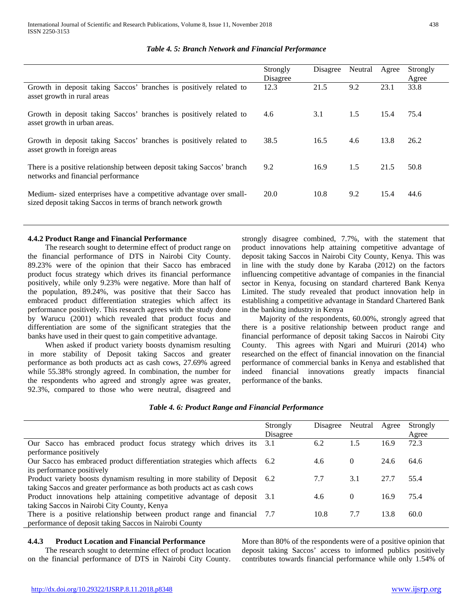|                                                                                                                                     | Strongly<br>Disagree | Disagree | Neutral | Agree | Strongly<br>Agree |
|-------------------------------------------------------------------------------------------------------------------------------------|----------------------|----------|---------|-------|-------------------|
| Growth in deposit taking Saccos' branches is positively related to<br>asset growth in rural areas                                   | 12.3                 | 21.5     | 9.2     | 23.1  | 33.8              |
| Growth in deposit taking Saccos' branches is positively related to<br>asset growth in urban areas.                                  | 4.6                  | 3.1      | 1.5     | 15.4  | 75.4              |
| Growth in deposit taking Saccos' branches is positively related to<br>asset growth in foreign areas                                 | 38.5                 | 16.5     | 4.6     | 13.8  | 26.2              |
| There is a positive relationship between deposit taking Saccos' branch<br>networks and financial performance                        | 9.2                  | 16.9     | 1.5     | 21.5  | 50.8              |
| Medium- sized enterprises have a competitive advantage over small-<br>sized deposit taking Saccos in terms of branch network growth | 20.0                 | 10.8     | 9.2     | 15.4  | 44.6              |

## *Table 4. 5: Branch Network and Financial Performance*

## **4.4.2 Product Range and Financial Performance**

 The research sought to determine effect of product range on the financial performance of DTS in Nairobi City County. 89.23% were of the opinion that their Sacco has embraced product focus strategy which drives its financial performance positively, while only 9.23% were negative. More than half of the population, 89.24%, was positive that their Sacco has embraced product differentiation strategies which affect its performance positively. This research agrees with the study done by Warucu (2001) which revealed that product focus and differentiation are some of the significant strategies that the banks have used in their quest to gain competitive advantage.

 When asked if product variety boosts dynamism resulting in more stability of Deposit taking Saccos and greater performance as both products act as cash cows, 27.69% agreed while 55.38% strongly agreed. In combination, the number for the respondents who agreed and strongly agree was greater, 92.3%, compared to those who were neutral, disagreed and

strongly disagree combined, 7.7%, with the statement that product innovations help attaining competitive advantage of deposit taking Saccos in Nairobi City County, Kenya. This was in line with the study done by Karaba (2012) on the factors influencing competitive advantage of companies in the financial sector in Kenya, focusing on standard chartered Bank Kenya Limited. The study revealed that product innovation help in establishing a competitive advantage in Standard Chartered Bank in the banking industry in Kenya

 Majority of the respondents, 60.00%, strongly agreed that there is a positive relationship between product range and financial performance of deposit taking Saccos in Nairobi City County. This agrees with Ngari and Muiruri (2014) who researched on the effect of financial innovation on the financial performance of commercial banks in Kenya and established that indeed financial innovations greatly impacts financial performance of the banks.

## *Table 4. 6: Product Range and Financial Performance*

|                                                                             | Strongly<br>Disagree | Disagree | Neutral  | Agree | Strongly<br>Agree |
|-----------------------------------------------------------------------------|----------------------|----------|----------|-------|-------------------|
| Our Sacco has embraced product focus strategy<br>which drives its 3.1       |                      | 6.2      | 1.5      | 16.9  | 72.3              |
| performance positively                                                      |                      |          |          |       |                   |
| Our Sacco has embraced product differentiation strategies which affects 6.2 |                      | 4.6      | $\theta$ | 24.6  | 64.6              |
| its performance positively                                                  |                      |          |          |       |                   |
| Product variety boosts dynamism resulting in more stability of Deposit 6.2  |                      | 7.7      | 3.1      | 27.7  | 55.4              |
| taking Saccos and greater performance as both products act as cash cows     |                      |          |          |       |                   |
| Product innovations help attaining competitive advantage of deposit 3.1     |                      | 4.6      | $\theta$ | 16.9  | 75.4              |
| taking Saccos in Nairobi City County, Kenya                                 |                      |          |          |       |                   |
| There is a positive relationship between product range and financial 7.7    |                      | 10.8     | 7.7      | 13.8  | 60.0              |
| performance of deposit taking Saccos in Nairobi County                      |                      |          |          |       |                   |

## **4.4.3 Product Location and Financial Performance**

 The research sought to determine effect of product location on the financial performance of DTS in Nairobi City County.

More than 80% of the respondents were of a positive opinion that deposit taking Saccos' access to informed publics positively contributes towards financial performance while only 1.54% of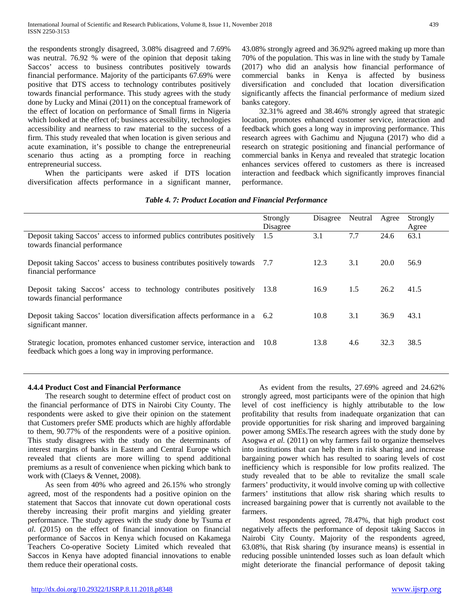the respondents strongly disagreed, 3.08% disagreed and 7.69% was neutral. 76.92 % were of the opinion that deposit taking Saccos' access to business contributes positively towards financial performance. Majority of the participants 67.69% were positive that DTS access to technology contributes positively towards financial performance. This study agrees with the study done by Lucky and Minai (2011) on the conceptual framework of the effect of location on performance of Small firms in Nigeria which looked at the effect of; business accessibility, technologies accessibility and nearness to raw material to the success of a firm. This study revealed that when location is given serious and acute examination, it's possible to change the entrepreneurial scenario thus acting as a prompting force in reaching entrepreneurial success.

 When the participants were asked if DTS location diversification affects performance in a significant manner, 43.08% strongly agreed and 36.92% agreed making up more than 70% of the population. This was in line with the study by Tamale (2017) who did an analysis how financial performance of commercial banks in Kenya is affected by business diversification and concluded that location diversification significantly affects the financial performance of medium sized banks category.

 32.31% agreed and 38.46% strongly agreed that strategic location, promotes enhanced customer service, interaction and feedback which goes a long way in improving performance. This research agrees with Gachimu and Njuguna (2017) who did a research on strategic positioning and financial performance of commercial banks in Kenya and revealed that strategic location enhances services offered to customers as there is increased interaction and feedback which significantly improves financial performance.

|                                                                                                                                          | Strongly<br>Disagree | Disagree | Neutral | Agree | Strongly<br>Agree |
|------------------------------------------------------------------------------------------------------------------------------------------|----------------------|----------|---------|-------|-------------------|
| Deposit taking Saccos' access to informed publics contributes positively<br>towards financial performance                                | 1.5                  | 3.1      | 7.7     | 24.6  | 63.1              |
| Deposit taking Saccos' access to business contributes positively towards 7.7<br>financial performance                                    |                      | 12.3     | 3.1     | 20.0  | 56.9              |
| Deposit taking Saccos' access to technology contributes positively 13.8<br>towards financial performance                                 |                      | 16.9     | 1.5     | 26.2  | 41.5              |
| Deposit taking Saccos' location diversification affects performance in a 6.2<br>significant manner.                                      |                      | 10.8     | 3.1     | 36.9  | 43.1              |
| Strategic location, promotes enhanced customer service, interaction and 10.8<br>feedback which goes a long way in improving performance. |                      | 13.8     | 4.6     | 32.3  | 38.5              |

## *Table 4. 7: Product Location and Financial Performance*

## **4.4.4 Product Cost and Financial Performance**

 The research sought to determine effect of product cost on the financial performance of DTS in Nairobi City County. The respondents were asked to give their opinion on the statement that Customers prefer SME products which are highly affordable to them, 90.77% of the respondents were of a positive opinion. This study disagrees with the study on the determinants of interest margins of banks in Eastern and Central Europe which revealed that clients are more willing to spend additional premiums as a result of convenience when picking which bank to work with (Claeys & Vennet, 2008).

 As seen from 40% who agreed and 26.15% who strongly agreed, most of the respondents had a positive opinion on the statement that Saccos that innovate cut down operational costs thereby increasing their profit margins and yielding greater performance. The study agrees with the study done by Tsuma *et al*. (2015) on the effect of financial innovation on financial performance of Saccos in Kenya which focused on Kakamega Teachers Co-operative Society Limited which revealed that Saccos in Kenya have adopted financial innovations to enable them reduce their operational costs.

 As evident from the results, 27.69% agreed and 24.62% strongly agreed, most participants were of the opinion that high level of cost inefficiency is highly attributable to the low profitability that results from inadequate organization that can provide opportunities for risk sharing and improved bargaining power among SMEs.The research agrees with the study done by Asogwa *et al.* (2011) on why farmers fail to organize themselves into institutions that can help them in risk sharing and increase bargaining power which has resulted to soaring levels of cost inefficiency which is responsible for low profits realized. The study revealed that to be able to revitalize the small scale farmers' productivity, it would involve coming up with collective farmers' institutions that allow risk sharing which results to increased bargaining power that is currently not available to the farmers.

 Most respondents agreed, 78.47%, that high product cost negatively affects the performance of deposit taking Saccos in Nairobi City County. Majority of the respondents agreed, 63.08%, that Risk sharing (by insurance means) is essential in reducing possible unintended losses such as loan default which might deteriorate the financial performance of deposit taking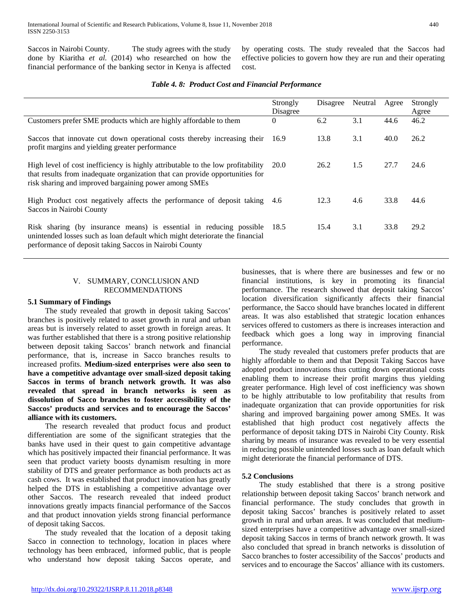Saccos in Nairobi County. The study agrees with the study done by Kiaritha *et al.* (2014) who researched on how the financial performance of the banking sector in Kenya is affected by operating costs. The study revealed that the Saccos had effective policies to govern how they are run and their operating cost.

|                                                                                                                                                                                                                          | Strongly<br>Disagree | Disagree | Neutral | Agree | Strongly<br>Agree |
|--------------------------------------------------------------------------------------------------------------------------------------------------------------------------------------------------------------------------|----------------------|----------|---------|-------|-------------------|
| Customers prefer SME products which are highly affordable to them                                                                                                                                                        | $\Omega$             | 6.2      | 3.1     | 44.6  | 46.2              |
| Saccos that innovate cut down operational costs thereby increasing their 16.9<br>profit margins and yielding greater performance                                                                                         |                      | 13.8     | 3.1     | 40.0  | 26.2              |
| High level of cost inefficiency is highly attributable to the low profitability<br>that results from inadequate organization that can provide opportunities for<br>risk sharing and improved bargaining power among SMEs | 20.0                 | 26.2     | 1.5     | 27.7  | 24.6              |
| High Product cost negatively affects the performance of deposit taking 4.6<br>Saccos in Nairobi County                                                                                                                   |                      | 12.3     | 4.6     | 33.8  | 44.6              |
| Risk sharing (by insurance means) is essential in reducing possible 18.5<br>unintended losses such as loan default which might deteriorate the financial<br>performance of deposit taking Saccos in Nairobi County       |                      | 15.4     | 3.1     | 33.8  | 29.2              |

## *Table 4. 8: Product Cost and Financial Performance*

## V. SUMMARY, CONCLUSION AND RECOMMENDATIONS

### **5.1 Summary of Findings**

 The study revealed that growth in deposit taking Saccos' branches is positively related to asset growth in rural and urban areas but is inversely related to asset growth in foreign areas. It was further established that there is a strong positive relationship between deposit taking Saccos' branch network and financial performance, that is, increase in Sacco branches results to increased profits. **Medium-sized enterprises were also seen to have a competitive advantage over small-sized deposit taking Saccos in terms of branch network growth. It was also revealed that spread in branch networks is seen as dissolution of Sacco branches to foster accessibility of the Saccos' products and services and to encourage the Saccos' alliance with its customers.**

 The research revealed that product focus and product differentiation are some of the significant strategies that the banks have used in their quest to gain competitive advantage which has positively impacted their financial performance. It was seen that product variety boosts dynamism resulting in more stability of DTS and greater performance as both products act as cash cows. It was established that product innovation has greatly helped the DTS in establishing a competitive advantage over other Saccos. The research revealed that indeed product innovations greatly impacts financial performance of the Saccos and that product innovation yields strong financial performance of deposit taking Saccos.

 The study revealed that the location of a deposit taking Sacco in connection to technology, location in places where technology has been embraced, informed public, that is people who understand how deposit taking Saccos operate, and

businesses, that is where there are businesses and few or no financial institutions, is key in promoting its financial performance. The research showed that deposit taking Saccos' location diversification significantly affects their financial performance, the Sacco should have branches located in different areas. It was also established that strategic location enhances services offered to customers as there is increases interaction and feedback which goes a long way in improving financial performance.

 The study revealed that customers prefer products that are highly affordable to them and that Deposit Taking Saccos have adopted product innovations thus cutting down operational costs enabling them to increase their profit margins thus yielding greater performance. High level of cost inefficiency was shown to be highly attributable to low profitability that results from inadequate organization that can provide opportunities for risk sharing and improved bargaining power among SMEs. It was established that high product cost negatively affects the performance of deposit taking DTS in Nairobi City County. Risk sharing by means of insurance was revealed to be very essential in reducing possible unintended losses such as loan default which might deteriorate the financial performance of DTS.

## **5.2 Conclusions**

 The study established that there is a strong positive relationship between deposit taking Saccos' branch network and financial performance. The study concludes that growth in deposit taking Saccos' branches is positively related to asset growth in rural and urban areas. It was concluded that mediumsized enterprises have a competitive advantage over small-sized deposit taking Saccos in terms of branch network growth. It was also concluded that spread in branch networks is dissolution of Sacco branches to foster accessibility of the Saccos' products and services and to encourage the Saccos' alliance with its customers.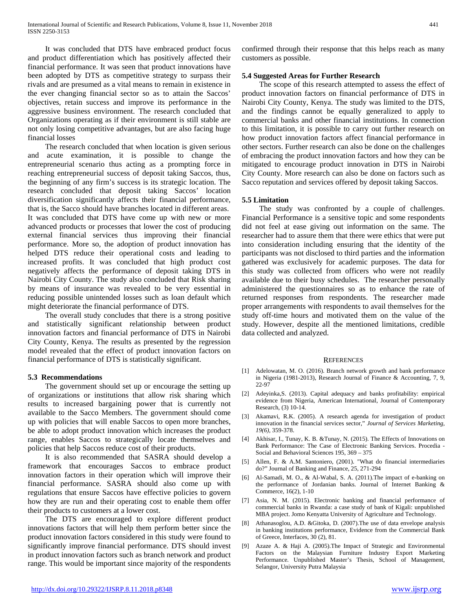It was concluded that DTS have embraced product focus and product differentiation which has positively affected their financial performance. It was seen that product innovations have been adopted by DTS as competitive strategy to surpass their rivals and are presumed as a vital means to remain in existence in the ever changing financial sector so as to attain the Saccos' objectives, retain success and improve its performance in the aggressive business environment. The research concluded that Organizations operating as if their environment is still stable are not only losing competitive advantages, but are also facing huge financial losses

 The research concluded that when location is given serious and acute examination, it is possible to change the entrepreneurial scenario thus acting as a prompting force in reaching entrepreneurial success of deposit taking Saccos, thus, the beginning of any firm's success is its strategic location. The research concluded that deposit taking Saccos' location diversification significantly affects their financial performance, that is, the Sacco should have branches located in different areas. It was concluded that DTS have come up with new or more advanced products or processes that lower the cost of producing external financial services thus improving their financial performance. More so, the adoption of product innovation has helped DTS reduce their operational costs and leading to increased profits. It was concluded that high product cost negatively affects the performance of deposit taking DTS in Nairobi City County. The study also concluded that Risk sharing by means of insurance was revealed to be very essential in reducing possible unintended losses such as loan default which might deteriorate the financial performance of DTS.

 The overall study concludes that there is a strong positive and statistically significant relationship between product innovation factors and financial performance of DTS in Nairobi City County, Kenya. The results as presented by the regression model revealed that the effect of product innovation factors on financial performance of DTS is statistically significant.

## **5.3 Recommendations**

 The government should set up or encourage the setting up of organizations or institutions that allow risk sharing which results to increased bargaining power that is currently not available to the Sacco Members. The government should come up with policies that will enable Saccos to open more branches, be able to adopt product innovation which increases the product range, enables Saccos to strategically locate themselves and policies that help Saccos reduce cost of their products.

 It is also recommended that SASRA should develop a framework that encourages Saccos to embrace product innovation factors in their operation which will improve their financial performance. SASRA should also come up with regulations that ensure Saccos have effective policies to govern how they are run and their operating cost to enable them offer their products to customers at a lower cost.

 The DTS are encouraged to explore different product innovations factors that will help them perform better since the product innovation factors considered in this study were found to significantly improve financial performance. DTS should invest in product innovation factors such as branch network and product range. This would be important since majority of the respondents

confirmed through their response that this helps reach as many customers as possible.

## **5.4 Suggested Areas for Further Research**

 The scope of this research attempted to assess the effect of product innovation factors on financial performance of DTS in Nairobi City County, Kenya. The study was limited to the DTS, and the findings cannot be equally generalized to apply to commercial banks and other financial institutions. In connection to this limitation, it is possible to carry out further research on how product innovation factors affect financial performance in other sectors. Further research can also be done on the challenges of embracing the product innovation factors and how they can be mitigated to encourage product innovation in DTS in Nairobi City County. More research can also be done on factors such as Sacco reputation and services offered by deposit taking Saccos.

## **5.5 Limitation**

 The study was confronted by a couple of challenges. Financial Performance is a sensitive topic and some respondents did not feel at ease giving out information on the same. The researcher had to assure them that there were ethics that were put into consideration including ensuring that the identity of the participants was not disclosed to third parties and the information gathered was exclusively for academic purposes. The data for this study was collected from officers who were not readily available due to their busy schedules. The researcher personally administered the questionnaires so as to enhance the rate of returned responses from respondents. The researcher made proper arrangements with respondents to avail themselves for the study off-time hours and motivated them on the value of the study. However, despite all the mentioned limitations, credible data collected and analyzed.

#### **REFERENCES**

- [1] Adelowatan, M. O. (2016). Branch network growth and bank performance in Nigeria (1981-2013), Research Journal of Finance & Accounting, 7, 9, 22-97
- [2] Adeyinka,S. (2013). Capital adequacy and banks profitability: empirical evidence from Nigeria, American International, Journal of Contemporary Research, (3) 10-14.
- [3] Akamavi, R.K. (2005). A research agenda for investigation of product innovation in the financial services sector," *Journal of Services Marketing*, *19(6),* 359-378.
- [4] Akhisar, I., Tunay, K. B. &Tunay, N. (2015). The Effects of Innovations on Bank Performance: The Case of Electronic Banking Services. Procedia - Social and Behavioral Sciences 195, 369 – 375
- [5] Allen, F. & A.M. Santoniero, (2001). "What do financial intermediaries do?" Journal of Banking and Finance, 25, 271-294
- [6] Al-Samadi, M. O., & Al-Wabal, S. A. (2011).The impact of e-banking on the performance of Jordanian banks. Journal of Internet Banking & Commerce, 16(2), 1-10
- [7] Asia, N. M. (2015). Electronic banking and financial performance of commercial banks in Rwanda: a case study of bank of Kigali: unpublished MBA project. Jomo Kenyatta University of Agriculture and Technology.
- [8] Athanasoglou, A.D. &Gitoka, D. (2007).The use of data envelope analysis in banking institutions performance, Evidence from the Commercial Bank of Greece, Interfaces, 30 (2), 81.
- [9] Azaze A. & Haji A. (2005).The Impact of Strategic and Environmental Factors on the Malaysian Furniture Industry Export Marketing Performance. Unpublished Master's Thesis, School of Management, Selangor, University Putra Malaysia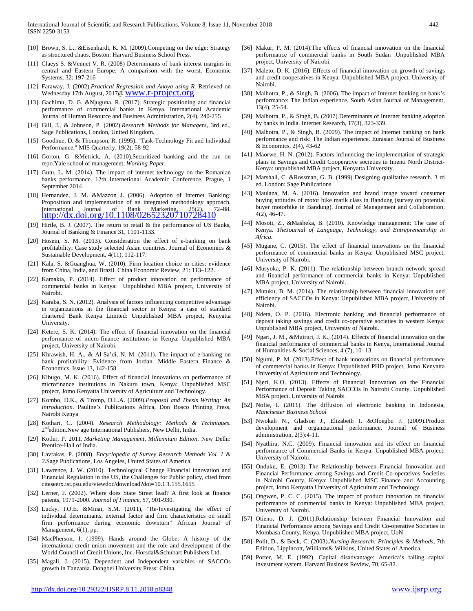- [10] Brown, S. L., &Eisenhardt, K. M. (2009).Competing on the edge: Strategy as structured chaos. Boston: Harvard Business School Press.
- [11] Claeys S. &Vennet V. R. (2008) Determinants of bank interest margins in central and Eastern Europe: A comparison with the worst, Economic Systems; 32: 197-216
- [12] Faraway, J. (2002).*Practical Regression and Anova using R.* Retrieved on Wednesday 17th August, 2017@ WWW.r-project.org.
- [13] Gachimu, D. G. &Njuguna, R. (2017). Strategic positioning and financial performance of commercial banks in Kenya. International Academic Journal of Human Resource and Business Administration, 2(4), 240-255
- [14] Gill, J., & Johnson, P. (2002).*Research Methods for Managers*, 3rd ed., Sage Publications, London, United Kingdom.
- [15] Goodhue, D. & Thompson, R. (1995). "Task-Technology Fit and Individual Performance," MIS Quarterly, 19(2), 58-92
- [16] Gorton, G. &Metrick, A. (2010).Securitized banking and the run on repo.Yale school of management, *Working Paper.*
- [17] Gutu, L. M. (2014). The impact of internet technology on the Romanian banks performance. 12th Internetional Academic Conference, Prague, 1 September 2014
- [18] Hernandez, J. M. &Mazzon J. (2006). Adoption of Internet Banking: Proposition and implementation of an integrated methodology approach. International Journal of Bank Marketing, 25(2), 72–88. <http://dx.doi.org/10.1108/02652320710728410>
- [19] Hirtle, B. J. (2007). The return to retail & the performance of US Banks, Journal of Banking & Finance 31, 1101-1133.
- [20] Hosein, S. M. (2013). Consideration the effect of e-banking on bank profitability; Case study selected Asian countries. Journal of Economics & Sustainable Development, 4(11), 112-117.
- [21] Kala, S. &Guanghua, W. (2010). Firm location choice in cities: evidence from China, India, and Brazil. China Economic Review, 21: 113–122.
- [22] Kamakia, P. (2014). Effect of product innovation on performance of commercial banks in Kenya: Unpublished MBA project, University of Nairobi.
- [23] Karaba, S. N. (2012). Analysis of factors influencing competitive advantage in organizations in the financial sector in Kenya: a case of standard chartered Bank Kenya Limited: Unpublished MBA project, Kenyatta University.
- [24] Ketere, S. K. (2014). The effect of financial innovation on the financial performance of micro-finance institutions in Kenya: Unpublished MBA project, University of Nairobi.
- [25] Khrawish, H. A., & Al-Sa'di, N. M. (2011). The impact of e-banking on bank profitability: Evidence from Jordan. Middle Eastern Finance & Economics, Issue 13, 142-158
- [26] Kibugo, M. K. (2016). Effect of financial innovations on performance of microfinance institutions in Nakuru town, Kenya: Unpublished MSC project, Jomo Kenyatta University of Agriculture and Technology.
- [27] Kombo, D.K., & Tromp, D.L.A. (2009).*Proposal and Thesis Writing: An Introduction*. Pauline's Publications Africa, Don Bosco Printing Press, Nairobi Kenya
- [28] Kothari, C. (2004). *Research Methodology: Methods & Techniques.*  2<sup>nd</sup>edition.New age International Publishers, New Delhi, India.
- [29] Kotler, P. 2011. *Marketing Management, Millennium Edition*. New Delhi: Prentice-Hall of India.
- [30] Lavrakas, P. (2008). *Encyclopedia of Survey Research Methods Vol. 1 & 2*.Sage Publications, Los Angeles, United States of America.
- [31] Lawrence, J. W. (2010). Technological Change Financial innovation and Financial Regulation in the US, the Challenges for Public policy, cited from citeseerx.ist.psu.edu/viewdoc/download?doi=10.1.1.155.1655
- [32] Lerner, J. (2002). Where does State Street lead? A first look at finance patents, 1971-2000. *Journal of Finance, 57,* 901-930.
- [33] Lucky, I.O.E. &Minai, S.M. (2011), "Re-Investigating the effect of individual determinants, external factor and firm characteristics on small firm performance during economic downturn" African Journal of Management, 6(1), pp.
- [34] MacPherson, I. (1999). Hands around the Globe: A history of the international credit union movement and the role and development of the World Council of Credit Unions, Inc. Horsdal&Schubart Publishers Ltd.
- [35] Magali, J. (2015). Dependent and Independent variables of SACCOs growth in Tanzania. Dongbei University Press: China.
- [36] Makur, P. M. (2014).The effects of financial innovation on the financial performance of commercial banks in South Sudan .Unpublished MBA project, University of Nairobi.
- [37] Maleto, D. K. (2016). Effects of financial innovation on growth of savings and credit cooperatives in Kenya: Unpublished MBA project, University of Nairobi.
- [38] Malhotra, P., & Singh, B. (2006). The impact of Internet banking on bank's performance: The Indian experience. South Asian Journal of Management, 13(4), 25-54.
- [39] Malhotra, P., & Singh, B. (2007). Determinants of Internet banking adoption by banks in India. Internet Research, 17(3), 323-339.
- [40] Malhotra, P., & Singh, B. (2009). The impact of Internet banking on bank performance and risk: The Indian experience. Eurasian Journal of Business & Economics, 2(4), 43-62
- [41] Maorwe, H. N. (2012). Factors influencing the implementation of strategic plans in Savings and Credit Cooperative societies in Imenti North District-Kenya: unpublished MBA project, Kenyatta University.
- [42] Marshall, C. &Rossman, G. B. (1999) Designing qualitative research. 3 rd ed. London: Sage Publications
- [43] Maulana, M. A. (2016). Innovation and brand image toward consumer buying attitudes of motor bike matik class in Bandung (survey on potential buyer motorbike in Bandung). Journal of Management and Collaboration, 4(2), 46-47.
- [44] Mosoti, Z., &Masheka, B. (2010). Knowledge management: The case of Kenya. *TheJournal of Language, Technology, and Entrepreneurship in Africa*.
- [45] Mugane, C. (2015). The effect of financial innovations on the financial performance of commercial banks in Kenya: Unpublished MSC project, University of Nairobi.
- [46] Musyoka, P. K. (2011). The relationship between branch network spread and financial performance of commercial banks in Kenya: Unpublished MBA project, University of Nairobi.
- [47] Mutuku, B. M. (2014). The relationship between financial innovation and efficiency of SACCOs in Kenya: Unpublished MBA project, University of Nairobi.
- [48] Ndeta, O. P. (2016). Electronic banking and financial performance of deposit taking savings and credit co-operative societies in western Kenya: Unpublished MBA project, University of Nairobi.
- [49] Ngari, J. M., &Muiruri, J. K., (2014). Effects of financial innovation on the financial performance of commercial banks in Kenya, International Journal of Humanities & Social Sciences, 4 (7), 10- 13
- [50] Ngumi, P. M. (2013).Effect of bank innovations on financial performance of commercial banks in Kenya: Unpublished PHD project, Jomo Kenyatta University of Agriculture and Technology.
- [51] Njeri, K.O. (2013). Effects of Financial Innovation on the Financial Performance of Deposit Taking SACCOs In Nairobi County. Unpublished MBA project. University of Nairobi
- [52] Nofie, I. (2011). The diffusion of electronic banking in Indonesia, *Manchester Business School*
- [53] Nwokah N., Gladson J., Elizabeth I. &Ofoegbu J. (2009).Product development and organizational performance. Journal of Business administration, 2(3):4-11.
- [54] Nyathira, N.C. (2009). Financial innovation and its effect on financial performance of Commercial Banks in Kenya: Unpublished MBA project: University of Nairobi.
- [55] Onduku, E. (2013) The Relationship between Financial Innovation and Financial Performance among Savings and Credit Co-operatives Societies in Nairobi County, Kenya: Unpublished MSC Finance and Accounting project, Jomo Kenyatta University of Agriculture and Technology.
- [56] Ongwen, P. C. C. (2015). The impact of product innovation on financial performance of commercial banks in Kenya: Unpublished MBA project, University of Nairobi.
- [57] Otieno, D. J. (2011).Relationship between Financial Innovation and Financial Performance among Savings and Credit Co-operative Societies in Mombasa County, Kenya. Unpublished MBA project, UoN
- [58] Polit, D., & Beck, C. (2003).*Nursing Research: Principles & Methods*, 7th Edition, Lippincott, Williams& Wilkins, United States of America.
- [59] Porter, M. E. (1992). Capital disadvantage: America's failing capital investment system. Harvard Business Review, 70, 65-82.